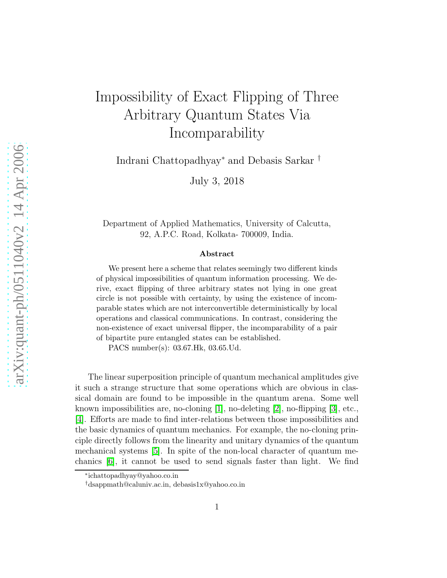## Impossibility of Exact Flipping of Three Arbitrary Quantum States Via Incomparability

Indrani Chattopadhyay<sup>∗</sup> and Debasis Sarkar †

July 3, 2018

Department of Applied Mathematics, University of Calcutta, 92, A.P.C. Road, Kolkata- 700009, India.

## Abstract

We present here a scheme that relates seemingly two different kinds of physical impossibilities of quantum information processing. We derive, exact flipping of three arbitrary states not lying in one great circle is not possible with certainty, by using the existence of incomparable states which are not interconvertible deterministically by local operations and classical communications. In contrast, considering the non-existence of exact universal flipper, the incomparability of a pair of bipartite pure entangled states can be established.

PACS number(s): 03.67.Hk, 03.65.Ud.

The linear superposition principle of quantum mechanical amplitudes give it such a strange structure that some operations which are obvious in classical domain are found to be impossible in the quantum arena. Some well known impossibilities are, no-cloning [\[1\]](#page-7-0), no-deleting [\[2\]](#page-7-1), no-flipping [\[3\]](#page-7-2), etc., [\[4\]](#page-7-3). Efforts are made to find inter-relations between those impossibilities and the basic dynamics of quantum mechanics. For example, the no-cloning principle directly follows from the linearity and unitary dynamics of the quantum mechanical systems [\[5\]](#page-7-4). In spite of the non-local character of quantum mechanics [\[6\]](#page-8-0), it cannot be used to send signals faster than light. We find

<sup>∗</sup> ichattopadhyay@yahoo.co.in

<sup>†</sup>dsappmath@caluniv.ac.in, debasis1x@yahoo.co.in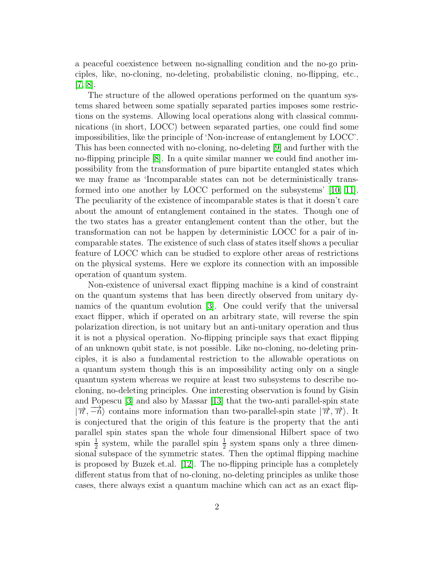a peaceful coexistence between no-signalling condition and the no-go principles, like, no-cloning, no-deleting, probabilistic cloning, no-flipping, etc., [\[7,](#page-8-1) [8\]](#page-8-2).

The structure of the allowed operations performed on the quantum systems shared between some spatially separated parties imposes some restrictions on the systems. Allowing local operations along with classical communications (in short, LOCC) between separated parties, one could find some impossibilities, like the principle of 'Non-increase of entanglement by LOCC'. This has been connected with no-cloning, no-deleting [\[9\]](#page-8-3) and further with the no-flipping principle [\[8\]](#page-8-2). In a quite similar manner we could find another impossibility from the transformation of pure bipartite entangled states which we may frame as 'Incomparable states can not be deterministically transformed into one another by LOCC performed on the subsystems' [\[10,](#page-8-4) [11\]](#page-8-5). The peculiarity of the existence of incomparable states is that it doesn't care about the amount of entanglement contained in the states. Though one of the two states has a greater entanglement content than the other, but the transformation can not be happen by deterministic LOCC for a pair of incomparable states. The existence of such class of states itself shows a peculiar feature of LOCC which can be studied to explore other areas of restrictions on the physical systems. Here we explore its connection with an impossible operation of quantum system.

Non-existence of universal exact flipping machine is a kind of constraint on the quantum systems that has been directly observed from unitary dynamics of the quantum evolution [\[3\]](#page-7-2). One could verify that the universal exact flipper, which if operated on an arbitrary state, will reverse the spin polarization direction, is not unitary but an anti-unitary operation and thus it is not a physical operation. No-flipping principle says that exact flipping of an unknown qubit state, is not possible. Like no-cloning, no-deleting principles, it is also a fundamental restriction to the allowable operations on a quantum system though this is an impossibility acting only on a single quantum system whereas we require at least two subsystems to describe nocloning, no-deleting principles. One interesting observation is found by Gisin and Popescu [\[3\]](#page-7-2) and also by Massar [\[13\]](#page-8-6) that the two-anti parallel-spin state  $|\vec{\pi}, \vec{\to}\rangle$  contains more information than two-parallel-spin state  $|\vec{\pi}, \vec{\pi}\rangle$ . It is conjectured that the origin of this feature is the property that the anti parallel spin states span the whole four dimensional Hilbert space of two spin  $\frac{1}{2}$  system, while the parallel spin  $\frac{1}{2}$  system spans only a three dimensional subspace of the symmetric states. Then the optimal flipping machine is proposed by Buzek et.al. [\[12\]](#page-8-7). The no-flipping principle has a completely different status from that of no-cloning, no-deleting principles as unlike those cases, there always exist a quantum machine which can act as an exact flip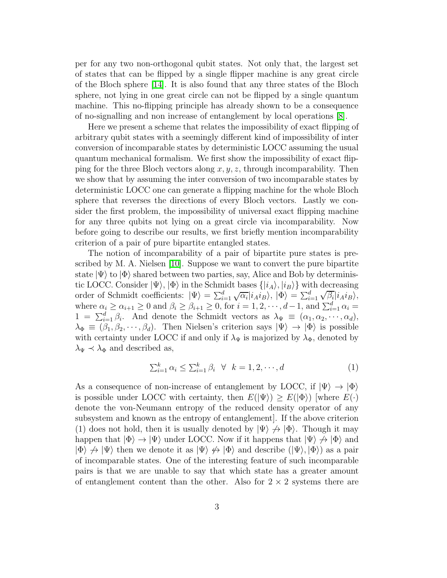per for any two non-orthogonal qubit states. Not only that, the largest set of states that can be flipped by a single flipper machine is any great circle of the Bloch sphere [\[14\]](#page-8-8). It is also found that any three states of the Bloch sphere, not lying in one great circle can not be flipped by a single quantum machine. This no-flipping principle has already shown to be a consequence of no-signalling and non increase of entanglement by local operations [\[8\]](#page-8-2).

Here we present a scheme that relates the impossibility of exact flipping of arbitrary qubit states with a seemingly different kind of impossibility of inter conversion of incomparable states by deterministic LOCC assuming the usual quantum mechanical formalism. We first show the impossibility of exact flipping for the three Bloch vectors along  $x, y, z$ , through incomparability. Then we show that by assuming the inter conversion of two incomparable states by deterministic LOCC one can generate a flipping machine for the whole Bloch sphere that reverses the directions of every Bloch vectors. Lastly we consider the first problem, the impossibility of universal exact flipping machine for any three qubits not lying on a great circle via incomparability. Now before going to describe our results, we first briefly mention incomparability criterion of a pair of pure bipartite entangled states.

The notion of incomparability of a pair of bipartite pure states is prescribed by M. A. Nielsen [\[10\]](#page-8-4). Suppose we want to convert the pure bipartite state  $|\Psi\rangle$  to  $|\Phi\rangle$  shared between two parties, say, Alice and Bob by deterministic LOCC. Consider  $|\Psi\rangle$ ,  $|\Phi\rangle$  in the Schmidt bases  $\{|i_A\rangle, |i_B\rangle\}$  with decreasing order of Schmidt coefficients:  $|\Psi\rangle = \sum_{i=1}^d \sqrt{\alpha_i} |i_A i_B\rangle, |\Phi\rangle = \sum_{i=1}^d \sqrt{\beta_i} |i_A i_B\rangle,$ where  $\alpha_i \geq \alpha_{i+1} \geq 0$  and  $\beta_i \geq \beta_{i+1} \geq 0$ , for  $i = 1, 2, \dots, d-1$ , and  $\sum_{i=1}^{d} \alpha_i =$  $1 = \sum_{i=1}^d \beta_i$ . And denote the Schmidt vectors as  $\lambda_{\Psi} \equiv (\alpha_1, \alpha_2, \cdots, \alpha_d)$ ,  $\lambda_{\Phi} \equiv (\beta_1, \beta_2, \cdots, \beta_d)$ . Then Nielsen's criterion says  $|\Psi\rangle \rightarrow |\Phi\rangle$  is possible with certainty under LOCC if and only if  $\lambda_{\Psi}$  is majorized by  $\lambda_{\Phi}$ , denoted by  $\lambda_{\Psi} \prec \lambda_{\Phi}$  and described as,

$$
\sum_{i=1}^{k} \alpha_i \le \sum_{i=1}^{k} \beta_i \quad \forall \quad k = 1, 2, \cdots, d \tag{1}
$$

As a consequence of non-increase of entanglement by LOCC, if  $|\Psi\rangle \rightarrow |\Phi\rangle$ is possible under LOCC with certainty, then  $E(|\Psi\rangle) \ge E(|\Phi\rangle)$  [where  $E(\cdot)$ ] denote the von-Neumann entropy of the reduced density operator of any subsystem and known as the entropy of entanglement]. If the above criterion (1) does not hold, then it is usually denoted by  $|\Psi\rangle \nrightarrow |\Phi\rangle$ . Though it may happen that  $|\Phi\rangle \rightarrow |\Psi\rangle$  under LOCC. Now if it happens that  $|\Psi\rangle \nrightarrow |\Phi\rangle$  and  $|\Phi\rangle \nrightarrow |\Psi\rangle$  then we denote it as  $|\Psi\rangle \nrightarrow |\Phi\rangle$  and describe  $(|\Psi\rangle, |\Phi\rangle)$  as a pair of incomparable states. One of the interesting feature of such incomparable pairs is that we are unable to say that which state has a greater amount of entanglement content than the other. Also for  $2 \times 2$  systems there are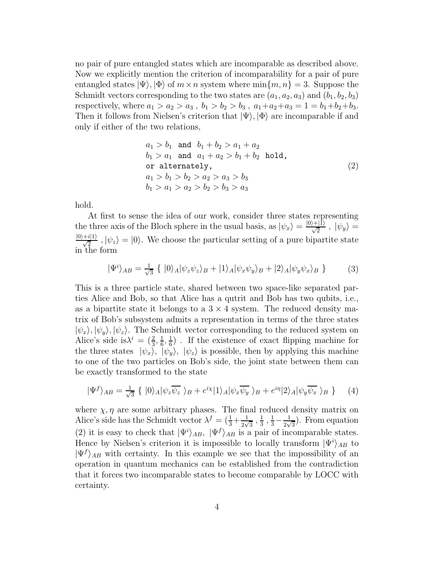no pair of pure entangled states which are incomparable as described above. Now we explicitly mention the criterion of incomparability for a pair of pure entangled states  $|\Psi\rangle$ ,  $|\Phi\rangle$  of  $m \times n$  system where  $\min\{m, n\} = 3$ . Suppose the Schmidt vectors corresponding to the two states are  $(a_1, a_2, a_3)$  and  $(b_1, b_2, b_3)$ respectively, where  $a_1 > a_2 > a_3$ ,  $b_1 > b_2 > b_3$ ,  $a_1 + a_2 + a_3 = 1 = b_1 + b_2 + b_3$ . Then it follows from Nielsen's criterion that  $|\Psi\rangle, |\Phi\rangle$  are incomparable if and only if either of the two relations,

$$
a_1 > b_1 \text{ and } b_1 + b_2 > a_1 + a_2b_1 > a_1 \text{ and } a_1 + a_2 > b_1 + b_2 \text{ hold,}\nor alternately,\n
$$
a_1 > b_1 > b_2 > a_2 > a_3 > b_3\n
$$
b_1 > a_1 > a_2 > b_2 > b_3 > a_3
$$
\n(2)
$$
$$

hold.

At first to sense the idea of our work, consider three states representing the three axis of the Bloch sphere in the usual basis, as  $|\psi_x\rangle = \frac{|0\rangle + |1\rangle}{\sqrt{2}}$ ,  $|\psi_y\rangle =$  $\frac{|0\rangle+i|1\rangle}{\sqrt{2}}$ ,  $|\psi_z\rangle=|0\rangle$ . We choose the particular setting of a pure bipartite state in the form

$$
|\Psi^i\rangle_{AB} = \frac{1}{\sqrt{3}} \left\{ |0\rangle_A |\psi_z \psi_z\rangle_B + |1\rangle_A |\psi_x \psi_y\rangle_B + |2\rangle_A |\psi_y \psi_x\rangle_B \right\} \tag{3}
$$

This is a three particle state, shared between two space-like separated parties Alice and Bob, so that Alice has a qutrit and Bob has two qubits, i.e., as a bipartite state it belongs to a  $3 \times 4$  system. The reduced density matrix of Bob's subsystem admits a representation in terms of the three states  $|\psi_x\rangle, |\psi_y\rangle, |\psi_z\rangle$ . The Schmidt vector corresponding to the reduced system on Alice's side is  $\lambda^i = \left(\frac{2}{3}, \frac{1}{6}\right)$  $\frac{1}{6}, \frac{1}{6}$  $\frac{1}{6}$ ). If the existence of exact flipping machine for the three states  $|\psi_x\rangle$ ,  $|\psi_y\rangle$ ,  $|\psi_z\rangle$  is possible, then by applying this machine to one of the two particles on Bob's side, the joint state between them can be exactly transformed to the state

$$
|\Psi^f\rangle_{AB} = \frac{1}{\sqrt{3}} \left\{ |0\rangle_A |\psi_z \overline{\psi_z} \rangle_B + e^{i\chi} |1\rangle_A |\psi_x \overline{\psi_y} \rangle_B + e^{i\eta} |2\rangle_A |\psi_y \overline{\psi_x} \rangle_B \right\} \tag{4}
$$

where  $\chi, \eta$  are some arbitrary phases. The final reduced density matrix on Alice's side has the Schmidt vector  $\lambda^f = \left(\frac{1}{3} + \frac{1}{2\nu}\right)$  $\frac{1}{2\sqrt{3}}$ ,  $\frac{1}{3}$  $\frac{1}{3}$ ,  $\frac{1}{3} - \frac{1}{2\sqrt{3}}$  $\frac{1}{2\sqrt{3}}$ . From equation (2) it is easy to check that  $|\Psi^i\rangle_{AB}$ ,  $|\Psi^f\rangle_{AB}$  is a pair of incomparable states. Hence by Nielsen's criterion it is impossible to locally transform  $|\Psi^i\rangle_{AB}$  to  $|\Psi^f\rangle_{AB}$  with certainty. In this example we see that the impossibility of an operation in quantum mechanics can be established from the contradiction that it forces two incomparable states to become comparable by LOCC with certainty.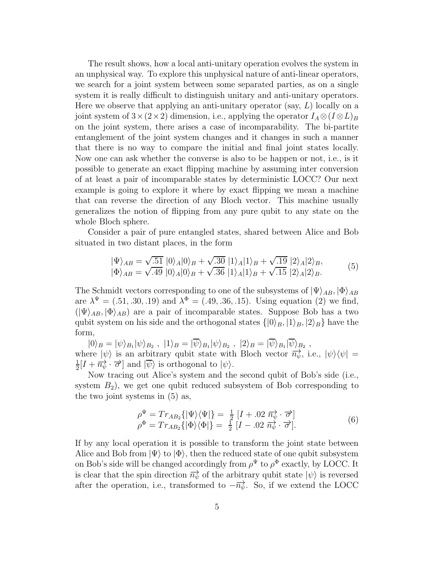The result shows, how a local anti-unitary operation evolves the system in an unphysical way. To explore this unphysical nature of anti-linear operators, we search for a joint system between some separated parties, as on a single system it is really difficult to distinguish unitary and anti-unitary operators. Here we observe that applying an anti-unitary operator (say,  $L$ ) locally on a joint system of 3 × (2 × 2) dimension, i.e., applying the operator  $I_A \otimes (I \otimes L)_B$ on the joint system, there arises a case of incomparability. The bi-partite entanglement of the joint system changes and it changes in such a manner that there is no way to compare the initial and final joint states locally. Now one can ask whether the converse is also to be happen or not, i.e., is it possible to generate an exact flipping machine by assuming inter conversion of at least a pair of incomparable states by deterministic LOCC? Our next example is going to explore it where by exact flipping we mean a machine that can reverse the direction of any Bloch vector. This machine usually generalizes the notion of flipping from any pure qubit to any state on the whole Bloch sphere.

Consider a pair of pure entangled states, shared between Alice and Bob situated in two distant places, in the form

$$
\begin{aligned} |\Psi\rangle_{AB} &= \sqrt{.51} |0\rangle_A |0\rangle_B + \sqrt{.30} |1\rangle_A |1\rangle_B + \sqrt{.19} |2\rangle_A |2\rangle_B, \\ |\Phi\rangle_{AB} &= \sqrt{.49} |0\rangle_A |0\rangle_B + \sqrt{.36} |1\rangle_A |1\rangle_B + \sqrt{.15} |2\rangle_A |2\rangle_B. \end{aligned} \tag{5}
$$

The Schmidt vectors corresponding to one of the subsystems of  $|\Psi\rangle_{AB}$ ,  $|\Phi\rangle_{AB}$ are  $\lambda^{\Psi} = (.51, .30, .19)$  and  $\lambda^{\Phi} = (.49, .36, .15)$ . Using equation (2) we find,  $(|\Psi\rangle_{AB}, |\Phi\rangle_{AB})$  are a pair of incomparable states. Suppose Bob has a two qubit system on his side and the orthogonal states  $\{|0\rangle_B, |1\rangle_B, |2\rangle_B\}$  have the form,

 $|0\rangle_B = |\psi\rangle_{B_1} |\psi\rangle_{B_2}$ ,  $|1\rangle_B = |\psi\rangle_{B_1} |\psi\rangle_{B_2}$ ,  $|2\rangle_B = |\psi\rangle_{B_1} |\psi\rangle_{B_2}$ , where  $|\psi\rangle$  is an arbitrary qubit state with Bloch vector  $\overrightarrow{n_{\psi}}$ , i.e.,  $|\psi\rangle\langle\psi|$  = 1  $\frac{1}{2}[I + \overrightarrow{n_{\psi}} \cdot \overrightarrow{\sigma}]$  and  $|\overrightarrow{\psi}\rangle$  is orthogonal to  $|\psi\rangle$ .

Now tracing out Alice's system and the second qubit of Bob's side (i.e., system  $B_2$ ), we get one qubit reduced subsystem of Bob corresponding to the two joint systems in (5) as,

$$
\rho^{\Psi} = Tr_{AB_2} \{ |\Psi\rangle\langle\Psi| \} = \frac{1}{2} \left[ I + .02 \overrightarrow{n_{\psi}} \cdot \overrightarrow{\sigma} \right] \n\rho^{\Phi} = Tr_{AB_2} \{ |\Phi\rangle\langle\Phi| \} = \frac{1}{2} \left[ I - .02 \overrightarrow{n_{\psi}} \cdot \overrightarrow{\sigma} \right].
$$
\n(6)

If by any local operation it is possible to transform the joint state between Alice and Bob from  $|\Psi\rangle$  to  $|\Phi\rangle$ , then the reduced state of one qubit subsystem on Bob's side will be changed accordingly from  $\rho^{\Psi}$  to  $\rho^{\Phi}$  exactly, by LOCC. It is clear that the spin direction  $\overrightarrow{n_{\psi}}$  of the arbitrary qubit state  $|\psi\rangle$  is reversed after the operation, i.e., transformed to  $-\overrightarrow{n_w}$ . So, if we extend the LOCC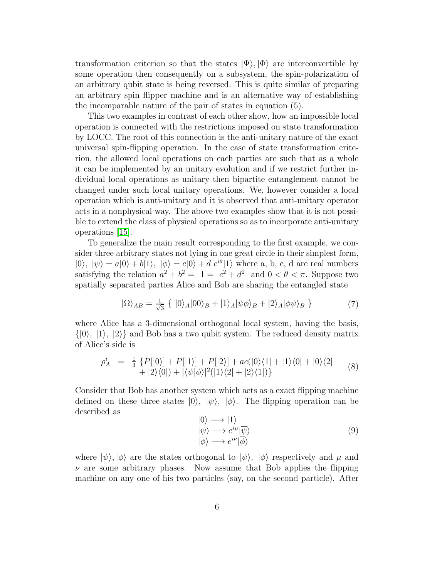transformation criterion so that the states  $|\Psi\rangle, |\Phi\rangle$  are interconvertible by some operation then consequently on a subsystem, the spin-polarization of an arbitrary qubit state is being reversed. This is quite similar of preparing an arbitrary spin flipper machine and is an alternative way of establishing the incomparable nature of the pair of states in equation (5).

This two examples in contrast of each other show, how an impossible local operation is connected with the restrictions imposed on state transformation by LOCC. The root of this connection is the anti-unitary nature of the exact universal spin-flipping operation. In the case of state transformation criterion, the allowed local operations on each parties are such that as a whole it can be implemented by an unitary evolution and if we restrict further individual local operations as unitary then bipartite entanglement cannot be changed under such local unitary operations. We, however consider a local operation which is anti-unitary and it is observed that anti-unitary operator acts in a nonphysical way. The above two examples show that it is not possible to extend the class of physical operations so as to incorporate anti-unitary operations [\[15\]](#page-8-9).

To generalize the main result corresponding to the first example, we consider three arbitrary states not lying in one great circle in their simplest form,  $|0\rangle, |\psi\rangle = a|0\rangle + b|1\rangle, |\phi\rangle = c|0\rangle + d e^{i\theta} |1\rangle$  where a, b, c, d are real numbers satisfying the relation  $a^2 + b^2 = 1 = c^2 + d^2$  and  $0 < \theta < \pi$ . Suppose two spatially separated parties Alice and Bob are sharing the entangled state

$$
|\Omega\rangle_{AB} = \frac{1}{\sqrt{3}} \left\{ |0\rangle_A |00\rangle_B + |1\rangle_A |\psi\phi\rangle_B + |2\rangle_A |\phi\psi\rangle_B \right\}
$$
 (7)

where Alice has a 3-dimensional orthogonal local system, having the basis,  $\{|0\rangle, |1\rangle, |2\rangle\}$  and Bob has a two qubit system. The reduced density matrix of Alice's side is

$$
\rho_A^i = \frac{1}{3} \{ P[|0\rangle] + P[|1\rangle] + P[|2\rangle] + ac(|0\rangle\langle 1| + |1\rangle\langle 0| + |0\rangle\langle 2| + |2\rangle\langle 0|) + |\langle \psi|\phi \rangle|^2 (|1\rangle\langle 2| + |2\rangle\langle 1|) \}
$$
\n(8)

Consider that Bob has another system which acts as a exact flipping machine defined on these three states  $|0\rangle, |\psi\rangle, |\phi\rangle$ . The flipping operation can be described as

$$
\begin{array}{l}\n|0\rangle \longrightarrow |1\rangle \\
|\psi\rangle \longrightarrow e^{i\mu}|\overline{\psi}\rangle \\
|\phi\rangle \longrightarrow e^{i\nu}|\overline{\phi}\rangle\n\end{array} (9)
$$

where  $|\overline{\psi}\rangle$ ,  $|\overline{\phi}\rangle$  are the states orthogonal to  $|\psi\rangle$ ,  $|\phi\rangle$  respectively and  $\mu$  and  $\nu$  are some arbitrary phases. Now assume that Bob applies the flipping machine on any one of his two particles (say, on the second particle). After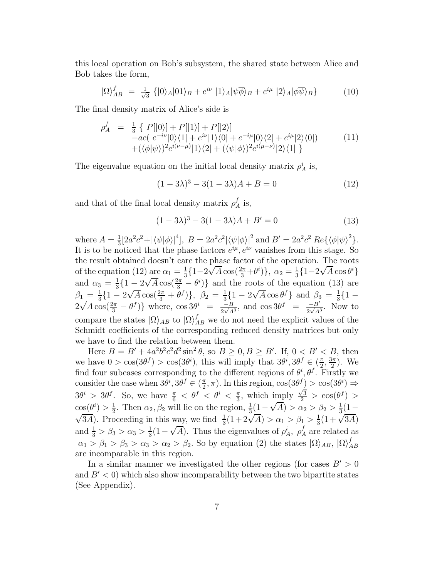this local operation on Bob's subsystem, the shared state between Alice and Bob takes the form,

$$
|\Omega\rangle_{AB}^{f} = \frac{1}{\sqrt{3}} \left\{|0\rangle_{A}|01\rangle_{B} + e^{i\nu}|1\rangle_{A}|\psi\overline{\phi}\rangle_{B} + e^{i\mu}|2\rangle_{A}|\phi\overline{\psi}\rangle_{B}\right\}
$$
 (10)

The final density matrix of Alice's side is

$$
\rho_A^f = \frac{1}{3} \{ P[|0\rangle] + P[|1\rangle] + P[|2\rangle] \n- ac( e^{-i\nu} |0\rangle\langle 1| + e^{i\nu} |1\rangle\langle 0| + e^{-i\mu} |0\rangle\langle 2| + e^{i\mu} |2\rangle\langle 0|) \n+ (\langle \phi | \psi \rangle)^2 e^{i(\nu - \mu)} |1\rangle\langle 2| + (\langle \psi | \phi \rangle)^2 e^{i(\mu - \nu)} |2\rangle\langle 1| \}
$$
\n(11)

The eigenvalue equation on the initial local density matrix  $\rho_A^i$  is,

$$
(1 - 3\lambda)^3 - 3(1 - 3\lambda)A + B = 0
$$
\n(12)

and that of the final local density matrix  $\rho_A^f$  is,

$$
(1 - 3\lambda)^3 - 3(1 - 3\lambda)A + B' = 0
$$
\n(13)

where  $A = \frac{1}{3} [2a^2c^2 + |\langle \psi | \phi \rangle|^4], B = 2a^2c^2 |\langle \psi | \phi \rangle|^2$  and  $B' = 2a^2c^2 Re{\{\langle \phi | \psi \rangle^2\}}.$ It is to be noticed that the phase factors  $e^{i\mu}$ ,  $e^{i\nu}$  vanishes from this stage. So the result obtained doesn't care the phase factor of the operation. The roots of the equation (12) are  $\alpha_1 = \frac{1}{3}$  $\frac{1}{3}\left\{1-2\sqrt{A}\cos(\frac{2\pi}{3}+\theta^i)\right\}, \ \alpha_2=\frac{1}{3}$  $\frac{1}{3}\left\{1-2\sqrt{A}\cos\theta^i\right\}$ and  $\alpha_3 = \frac{1}{3}$  $\frac{1}{3}\left\{1-2\sqrt{A}\cos(\frac{2\pi}{3}-\theta^i)\right\}$  and the roots of the equation (13) are  $\beta_1 = \frac{1}{3}$  $\frac{3}{3}\left\{1-2\sqrt{A}\cos(\frac{2\pi}{3}+\theta^f)\right\},\ \beta_2=\frac{1}{3}$  $\frac{1}{3}\left\{1-2\sqrt{A}\cos\theta^f\right\}$  and  $\beta_3=\frac{1}{3}$  $\frac{1}{3}$ {1 –  $2\sqrt{A}\cos(\frac{2\pi}{3}-\theta^f)$ } where,  $\cos 3\theta^i = \frac{-B}{2\sqrt{A^3}}$ , and  $\cos 3\theta^f = \frac{-B'}{2\sqrt{A^3}}$ . Now to compare the states  $|\Omega\rangle_{AB}$  to  $|\Omega\rangle_{AB}^f$  we do not need the explicit values of the Schmidt coefficients of the corresponding reduced density matrices but only we have to find the relation between them.

Here  $B = B' + 4a^2b^2c^2d^2\sin^2\theta$ , so  $B \ge 0, B \ge B'$ . If,  $0 < B' < B$ , then we have  $0 > \cos(3\theta^f) > \cos(3\theta^i)$ , this will imply that  $3\theta^i, 3\theta^f \in \left(\frac{\pi}{2}\right)$  $\frac{\pi}{2}, \frac{3\pi}{2}$  $\frac{3\pi}{2}$ ). We find four subcases corresponding to the different regions of  $\theta^i, \theta^f$ . Firstly we consider the case when  $3\theta^i, 3\theta^f \in (\frac{\pi}{2})$  $(\frac{\pi}{2}, \pi)$ . In this region,  $\cos(3\theta^f) > \cos(3\theta^i) \Rightarrow$  $3\theta^i > 3\theta^f$ . So, we have  $\frac{\pi}{6} < \theta^f < \theta^i < \frac{\pi}{3}$  $\frac{\pi}{3}$ , which imply  $\frac{\sqrt{3}}{2}$  > cos( $\theta^f$ ) >  $\cos(\theta^i) > \frac{1}{2}$  $\frac{1}{2}$ . Then  $\alpha_2, \beta_2$  will lie on the region,  $\frac{1}{3}(\frac{1}{4}-\sqrt{A}) > \alpha_2 > \beta_2 > \frac{1}{3}$  $\cos(\theta^i) > \frac{1}{2}$ . Then  $\alpha_2, \beta_2$  will lie on the region,  $\frac{1}{3}(1-\sqrt{A}) > \alpha_2 > \beta_2 > \frac{1}{3}(1-\sqrt{A})$  $\overline{3A}$ ). Proceeding in this way, we find  $\frac{1}{3}(1+2\sqrt{A}) > \alpha_1 > \beta_1 > \frac{1}{3}$  $\frac{1}{3}(1+\sqrt{3A})$ and  $\frac{1}{3} > \beta_3 > \alpha_3 > \frac{1}{3}$  $\frac{1}{3}(1-\sqrt{A})$ . Thus the eigenvalues of  $\rho_A^i$ ,  $\rho_A^f$  are related as  $\alpha_1 > \beta_1 > \beta_3 > \alpha_3 > \alpha_2 > \beta_2$ . So by equation (2) the states  $|\Omega\rangle_{AB}$ ,  $|\Omega\rangle^f_A$ AB are incomparable in this region.

In a similar manner we investigated the other regions (for cases  $B' > 0$ and  $B' < 0$ ) which also show incomparability between the two bipartite states (See Appendix).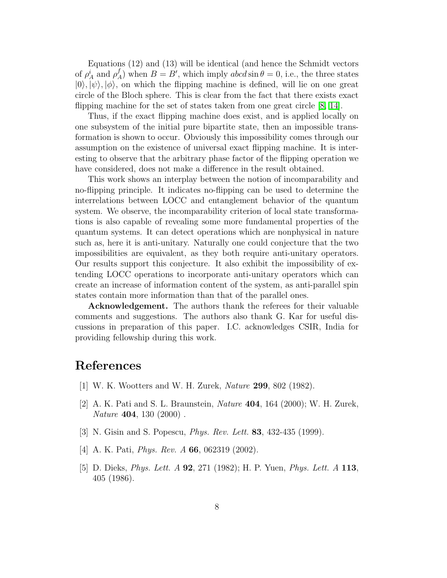Equations (12) and (13) will be identical (and hence the Schmidt vectors of  $\rho_A^i$  and  $\rho_A^f$ ) when  $B = B'$ , which imply  $abcd \sin \theta = 0$ , i.e., the three states  $|0\rangle, |\psi\rangle, |\phi\rangle$ , on which the flipping machine is defined, will lie on one great circle of the Bloch sphere. This is clear from the fact that there exists exact flipping machine for the set of states taken from one great circle  $[8, 14]$  $[8, 14]$ .

Thus, if the exact flipping machine does exist, and is applied locally on one subsystem of the initial pure bipartite state, then an impossible transformation is shown to occur. Obviously this impossibility comes through our assumption on the existence of universal exact flipping machine. It is interesting to observe that the arbitrary phase factor of the flipping operation we have considered, does not make a difference in the result obtained.

This work shows an interplay between the notion of incomparability and no-flipping principle. It indicates no-flipping can be used to determine the interrelations between LOCC and entanglement behavior of the quantum system. We observe, the incomparability criterion of local state transformations is also capable of revealing some more fundamental properties of the quantum systems. It can detect operations which are nonphysical in nature such as, here it is anti-unitary. Naturally one could conjecture that the two impossibilities are equivalent, as they both require anti-unitary operators. Our results support this conjecture. It also exhibit the impossibility of extending LOCC operations to incorporate anti-unitary operators which can create an increase of information content of the system, as anti-parallel spin states contain more information than that of the parallel ones.

Acknowledgement. The authors thank the referees for their valuable comments and suggestions. The authors also thank G. Kar for useful discussions in preparation of this paper. I.C. acknowledges CSIR, India for providing fellowship during this work.

## <span id="page-7-0"></span>References

- <span id="page-7-1"></span>[1] W. K. Wootters and W. H. Zurek, Nature 299, 802 (1982).
- [2] A. K. Pati and S. L. Braunstein, *Nature* **404**, 164 (2000); W. H. Zurek, Nature 404, 130 (2000) .
- <span id="page-7-3"></span><span id="page-7-2"></span>[3] N. Gisin and S. Popescu, Phys. Rev. Lett. 83, 432-435 (1999).
- <span id="page-7-4"></span>[4] A. K. Pati, *Phys. Rev. A* **66**, 062319 (2002).
- [5] D. Dieks, Phys. Lett. A 92, 271 (1982); H. P. Yuen, Phys. Lett. A 113, 405 (1986).